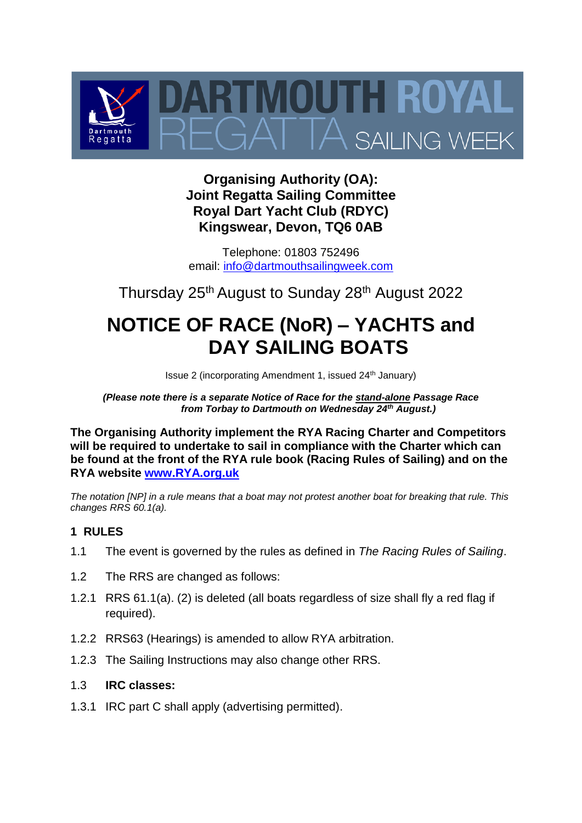

# **Organising Authority (OA): Joint Regatta Sailing Committee Royal Dart Yacht Club (RDYC) Kingswear, Devon, TQ6 0AB**

Telephone: 01803 752496 email: [info@dartmouthsailingweek.com](mailto:info@dartmouthsailingweek.com)

Thursday 25th August to Sunday 28th August 2022

# **NOTICE OF RACE (NoR) – YACHTS and DAY SAILING BOATS**

Issue 2 (incorporating Amendment 1, issued 24th January)

*(Please note there is a separate Notice of Race for the stand-alone Passage Race from Torbay to Dartmouth on Wednesday 24th August.)*

**The Organising Authority implement the RYA Racing Charter and Competitors will be required to undertake to sail in compliance with the Charter which can be found at the front of the RYA rule book (Racing Rules of Sailing) and on the RYA website [www.RYA.org.uk](http://www.rya.org.uk/)**

*The notation [NP] in a rule means that a boat may not protest another boat for breaking that rule. This changes RRS 60.1(a).*

## <span id="page-0-0"></span>**1 RULES**

- 1.1 The event is governed by the rules as defined in *The Racing Rules of Sailing*.
- 1.2 The RRS are changed as follows:
- 1.2.1 RRS 61.1(a). (2) is deleted (all boats regardless of size shall fly a red flag if required).
- 1.2.2 RRS63 (Hearings) is amended to allow RYA arbitration.
- 1.2.3 The Sailing Instructions may also change other RRS.

#### 1.3 **IRC classes:**

1.3.1 IRC part C shall apply (advertising permitted).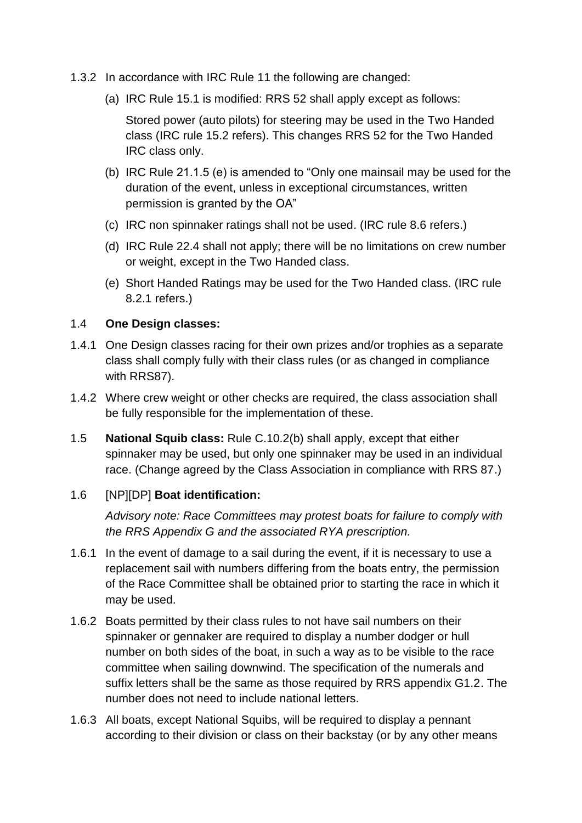- 1.3.2 In accordance with IRC Rule 11 the following are changed:
	- (a) IRC Rule 15.1 is modified: RRS 52 shall apply except as follows:

Stored power (auto pilots) for steering may be used in the Two Handed class (IRC rule 15.2 refers). This changes RRS 52 for the Two Handed IRC class only.

- (b) IRC Rule 21.1.5 (e) is amended to "Only one mainsail may be used for the duration of the event, unless in exceptional circumstances, written permission is granted by the OA"
- (c) IRC non spinnaker ratings shall not be used. (IRC rule 8.6 refers.)
- (d) IRC Rule 22.4 shall not apply; there will be no limitations on crew number or weight, except in the Two Handed class.
- (e) Short Handed Ratings may be used for the Two Handed class. (IRC rule 8.2.1 refers.)

#### 1.4 **One Design classes:**

- 1.4.1 One Design classes racing for their own prizes and/or trophies as a separate class shall comply fully with their class rules (or as changed in compliance with RRS87).
- 1.4.2 Where crew weight or other checks are required, the class association shall be fully responsible for the implementation of these.
- 1.5 **National Squib class:** Rule C.10.2(b) shall apply, except that either spinnaker may be used, but only one spinnaker may be used in an individual race. (Change agreed by the Class Association in compliance with RRS 87.)

#### 1.6 [NP][DP] **Boat identification:**

*Advisory note: Race Committees may protest boats for failure to comply with the RRS Appendix G and the associated RYA prescription.*

- 1.6.1 In the event of damage to a sail during the event, if it is necessary to use a replacement sail with numbers differing from the boats entry, the permission of the Race Committee shall be obtained prior to starting the race in which it may be used.
- 1.6.2 Boats permitted by their class rules to not have sail numbers on their spinnaker or gennaker are required to display a number dodger or hull number on both sides of the boat, in such a way as to be visible to the race committee when sailing downwind. The specification of the numerals and suffix letters shall be the same as those required by RRS appendix G1.2. The number does not need to include national letters.
- 1.6.3 All boats, except National Squibs, will be required to display a pennant according to their division or class on their backstay (or by any other means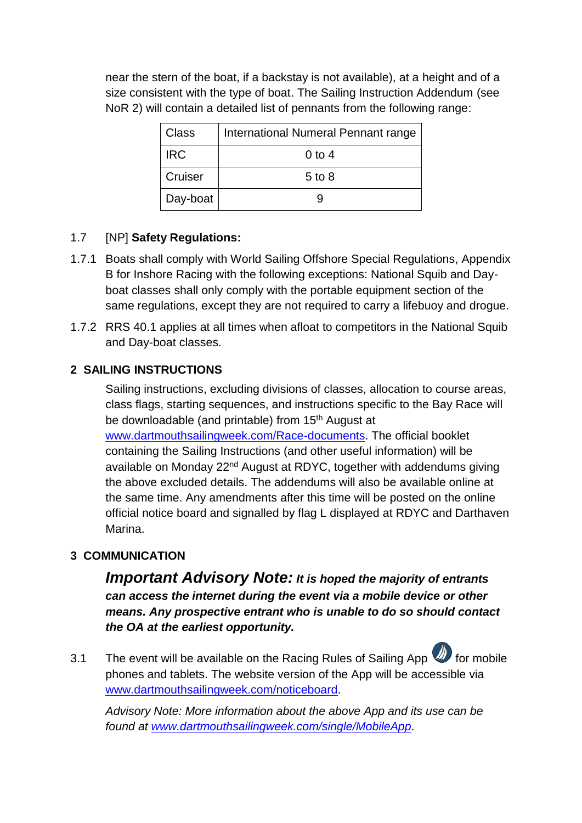near the stern of the boat, if a backstay is not available), at a height and of a size consistent with the type of boat. The Sailing Instruction Addendum (see NoR 2) will contain a detailed list of pennants from the following range:

| Class      | International Numeral Pennant range |
|------------|-------------------------------------|
| <b>IRC</b> | 0 to 4                              |
| Cruiser    | $5$ to $8$                          |
| Day-boat   |                                     |

## 1.7 [NP] **Safety Regulations:**

- 1.7.1 Boats shall comply with World Sailing Offshore Special Regulations, Appendix B for Inshore Racing with the following exceptions: National Squib and Dayboat classes shall only comply with the portable equipment section of the same regulations, except they are not required to carry a lifebuoy and drogue.
- 1.7.2 RRS 40.1 applies at all times when afloat to competitors in the National Squib and Day-boat classes.

## **2 SAILING INSTRUCTIONS**

Sailing instructions, excluding divisions of classes, allocation to course areas, class flags, starting sequences, and instructions specific to the Bay Race will be downloadable (and printable) from 15<sup>th</sup> August at [www.dartmouthsailingweek.com/Race-documents.](http://www.dartmouthsailingweek.com/Race-documents) The official booklet containing the Sailing Instructions (and other useful information) will be available on Monday 22<sup>nd</sup> August at RDYC, together with addendums giving the above excluded details. The addendums will also be available online at the same time. Any amendments after this time will be posted on the online official notice board and signalled by flag L displayed at RDYC and Darthaven Marina.

# **3 COMMUNICATION**

*Important Advisory Note: It is hoped the majority of entrants can access the internet during the event via a mobile device or other means. Any prospective entrant who is unable to do so should contact the OA at the earliest opportunity.*

3.1 The event will be available on the Racing Rules of Sailing App **1** for mobile phones and tablets. The website version of the App will be accessible via [www.dartmouthsailingweek.com/noticeboard.](http://www.dartmouthsailingweek.com/noticeboard)

*Advisory Note: More information about the above App and its use can be found at [www.dartmouthsailingweek.com/single/MobileApp.](http://www.dartmouthsailingweek.com/single/MobileApp)*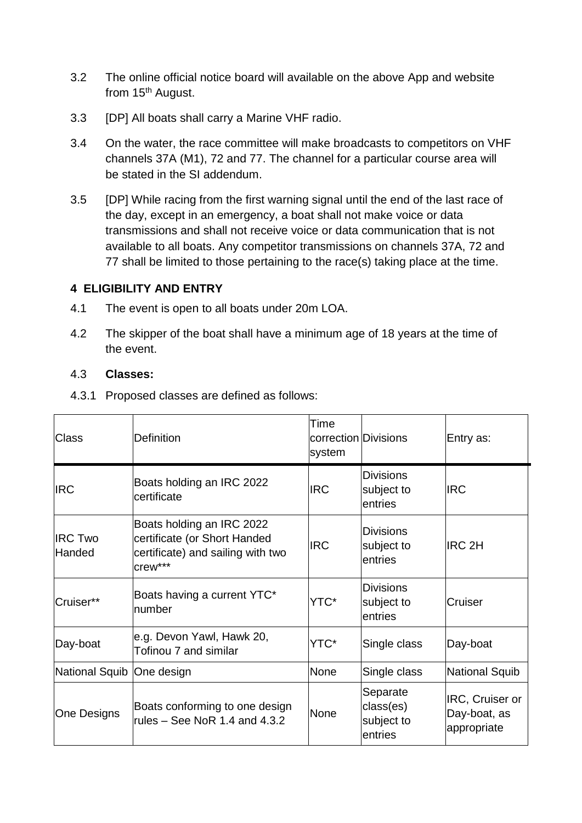- 3.2 The online official notice board will available on the above App and website from 15<sup>th</sup> August.
- 3.3 [DP] All boats shall carry a Marine VHF radio.
- 3.4 On the water, the race committee will make broadcasts to competitors on VHF channels 37A (M1), 72 and 77. The channel for a particular course area will be stated in the SI addendum.
- 3.5 [DP] While racing from the first warning signal until the end of the last race of the day, except in an emergency, a boat shall not make voice or data transmissions and shall not receive voice or data communication that is not available to all boats. Any competitor transmissions on channels 37A, 72 and 77 shall be limited to those pertaining to the race(s) taking place at the time.

#### **4 ELIGIBILITY AND ENTRY**

- 4.1 The event is open to all boats under 20m LOA.
- 4.2 The skipper of the boat shall have a minimum age of 18 years at the time of the event.

#### 4.3 **Classes:**

4.3.1 Proposed classes are defined as follows:

| <b>Class</b>              | <b>Definition</b>                                                                                         | Time<br>correction Divisions<br>system |                                                | Entry as:                                      |
|---------------------------|-----------------------------------------------------------------------------------------------------------|----------------------------------------|------------------------------------------------|------------------------------------------------|
| <b>IRC</b>                | Boats holding an IRC 2022<br>certificate                                                                  | <b>IRC</b>                             | <b>Divisions</b><br>subject to<br>entries      | <b>IRC</b>                                     |
| <b>IRC Two</b><br>Handed  | Boats holding an IRC 2022<br>certificate (or Short Handed<br>certificate) and sailing with two<br>crew*** | <b>IRC</b>                             | <b>Divisions</b><br>subject to<br>entries      | <b>IRC 2H</b>                                  |
| Cruiser**                 | Boats having a current YTC*<br>number                                                                     | YTC*                                   | <b>Divisions</b><br>subject to<br>entries      | Cruiser                                        |
| Day-boat                  | e.g. Devon Yawl, Hawk 20,<br>Tofinou 7 and similar                                                        | YTC*                                   | Single class                                   | Day-boat                                       |
| National Squib One design |                                                                                                           | None                                   | Single class                                   | National Squib                                 |
| One Designs               | Boats conforming to one design<br>rules $-$ See NoR 1.4 and 4.3.2                                         | None                                   | Separate<br>class(es)<br>subject to<br>entries | IRC, Cruiser or<br>Day-boat, as<br>appropriate |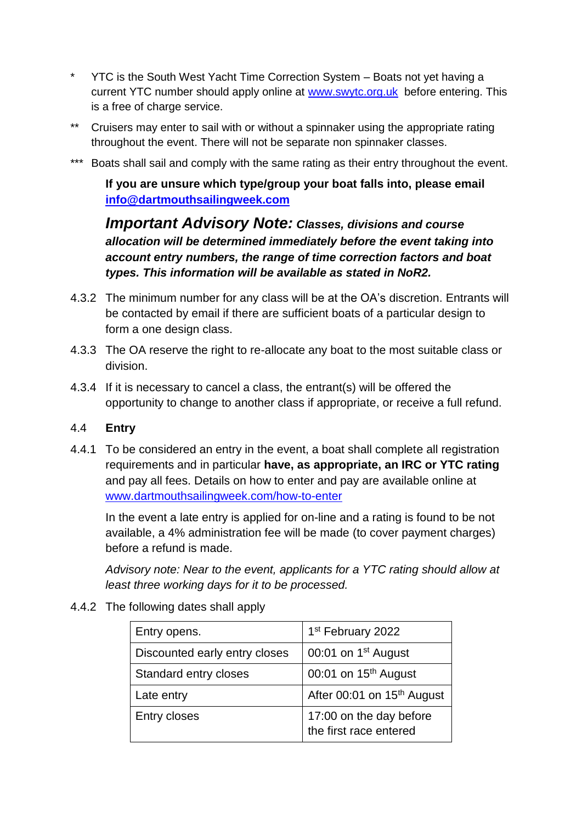- \* YTC is the South West Yacht Time Correction System Boats not yet having a current YTC number should apply online at [www.swytc.org.uk](http://www.swytc.org.uk/) before entering. This is a free of charge service.
- \*\* Cruisers may enter to sail with or without a spinnaker using the appropriate rating throughout the event. There will not be separate non spinnaker classes.
- \*\*\* Boats shall sail and comply with the same rating as their entry throughout the event.

**If you are unsure which type/group your boat falls into, please email [info@dartmouthsailingweek.com](mailto:info@dartmouthsailingweek.com)**

*Important Advisory Note: Classes, divisions and course allocation will be determined immediately before the event taking into account entry numbers, the range of time correction factors and boat types. This information will be available as stated in NoR2.*

- 4.3.2 The minimum number for any class will be at the OA's discretion. Entrants will be contacted by email if there are sufficient boats of a particular design to form a one design class.
- 4.3.3 The OA reserve the right to re-allocate any boat to the most suitable class or division.
- 4.3.4 If it is necessary to cancel a class, the entrant(s) will be offered the opportunity to change to another class if appropriate, or receive a full refund.

#### 4.4 **Entry**

4.4.1 To be considered an entry in the event, a boat shall complete all registration requirements and in particular **have, as appropriate, an IRC or YTC rating**  and pay all fees. Details on how to enter and pay are available online at [www.dartmouthsailingweek.com/how-to-enter](http://www.dartmouthsailingweek.com/how-to-enter)

In the event a late entry is applied for on-line and a rating is found to be not available, a 4% administration fee will be made (to cover payment charges) before a refund is made.

*Advisory note: Near to the event, applicants for a YTC rating should allow at least three working days for it to be processed.*

| Entry opens.                  | 1 <sup>st</sup> February 2022                     |
|-------------------------------|---------------------------------------------------|
| Discounted early entry closes | 00:01 on 1 <sup>st</sup> August                   |
| Standard entry closes         | 00:01 on 15 <sup>th</sup> August                  |
| Late entry                    | After 00:01 on 15 <sup>th</sup> August            |
| Entry closes                  | 17:00 on the day before<br>the first race entered |

4.4.2 The following dates shall apply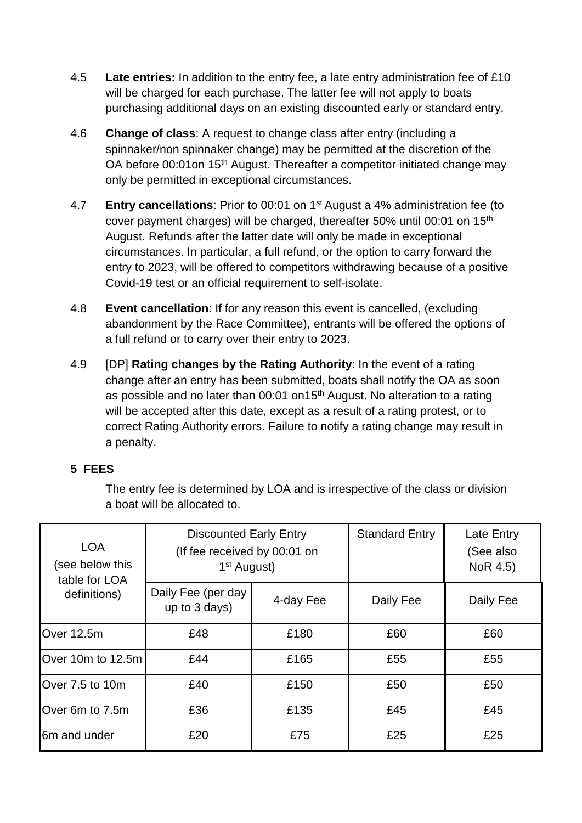- 4.5 **Late entries:** In addition to the entry fee, a late entry administration fee of £10 will be charged for each purchase. The latter fee will not apply to boats purchasing additional days on an existing discounted early or standard entry.
- 4.6 **Change of class**: A request to change class after entry (including a spinnaker/non spinnaker change) may be permitted at the discretion of the OA before 00:01 on 15<sup>th</sup> August. Thereafter a competitor initiated change may only be permitted in exceptional circumstances.
- 4.7 **Entry cancellations**: Prior to 00:01 on 1 st August a 4% administration fee (to cover payment charges) will be charged, thereafter 50% until 00:01 on 15th August. Refunds after the latter date will only be made in exceptional circumstances. In particular, a full refund, or the option to carry forward the entry to 2023, will be offered to competitors withdrawing because of a positive Covid-19 test or an official requirement to self-isolate.
- 4.8 **Event cancellation**: If for any reason this event is cancelled, (excluding abandonment by the Race Committee), entrants will be offered the options of a full refund or to carry over their entry to 2023.
- 4.9 [DP] **Rating changes by the Rating Authority**: In the event of a rating change after an entry has been submitted, boats shall notify the OA as soon as possible and no later than 00:01 on15<sup>th</sup> August. No alteration to a rating will be accepted after this date, except as a result of a rating protest, or to correct Rating Authority errors. Failure to notify a rating change may result in a penalty.

## **5 FEES**

The entry fee is determined by LOA and is irrespective of the class or division a boat will be allocated to.

| <b>LOA</b><br>(see below this<br>table for LOA | <b>Discounted Early Entry</b><br>(If fee received by 00:01 on<br>1 <sup>st</sup> August) |           | <b>Standard Entry</b> | Late Entry<br>(See also<br>NoR 4.5) |
|------------------------------------------------|------------------------------------------------------------------------------------------|-----------|-----------------------|-------------------------------------|
| definitions)                                   | Daily Fee (per day<br>up to 3 days)                                                      | 4-day Fee | Daily Fee             | Daily Fee                           |
| Over 12.5m                                     | £48                                                                                      | £180      | £60                   | £60                                 |
| Over 10m to 12.5m                              | £44                                                                                      | £165      | £55                   | £55                                 |
| Over 7.5 to 10m                                | £40                                                                                      | £150      | £50                   | £50                                 |
| Over 6m to 7.5m                                | £36                                                                                      | £135      | £45                   | £45                                 |
| <b>6m and under</b>                            | £20                                                                                      | £75       | £25                   | £25                                 |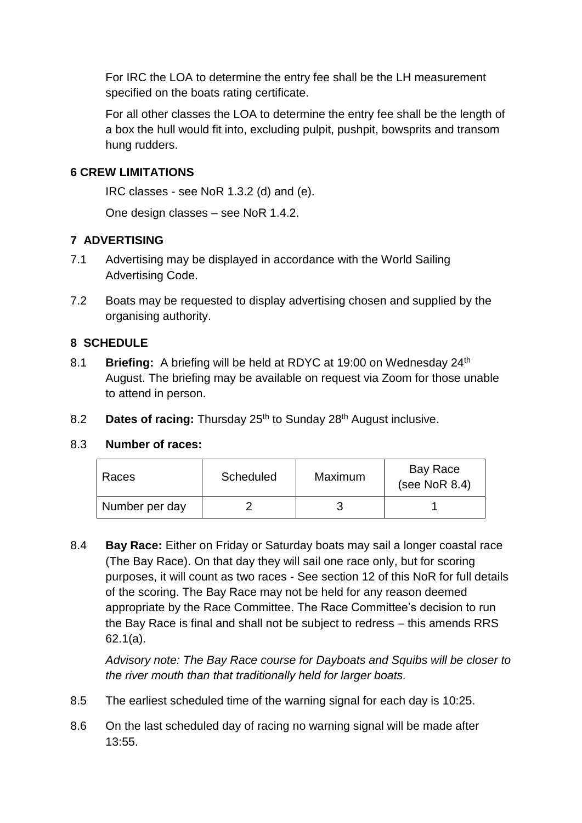For IRC the LOA to determine the entry fee shall be the LH measurement specified on the boats rating certificate.

For all other classes the LOA to determine the entry fee shall be the length of a box the hull would fit into, excluding pulpit, pushpit, bowsprits and transom hung rudders.

### **6 CREW LIMITATIONS**

IRC classes - see NoR 1.3.2 (d) and (e).

One design classes – see NoR 1.4.2.

## **7 ADVERTISING**

- 7.1 Advertising may be displayed in accordance with the World Sailing Advertising Code.
- 7.2 Boats may be requested to display advertising chosen and supplied by the organising authority.

#### **8 SCHEDULE**

- 8.1 **Briefing:** A briefing will be held at RDYC at 19:00 on Wednesdav 24<sup>th</sup> August. The briefing may be available on request via Zoom for those unable to attend in person.
- 8.2 **Dates of racing:** Thursday 25<sup>th</sup> to Sunday 28<sup>th</sup> August inclusive.

#### 8.3 **Number of races:**

| Races          | <b>Scheduled</b> | Maximum | Bay Race<br>(see NoR $8.4$ ) |
|----------------|------------------|---------|------------------------------|
| Number per day |                  |         |                              |

8.4 **Bay Race:** Either on Friday or Saturday boats may sail a longer coastal race (The Bay Race). On that day they will sail one race only, but for scoring purposes, it will count as two races - See section 12 of this NoR for full details of the scoring. The Bay Race may not be held for any reason deemed appropriate by the Race Committee. The Race Committee's decision to run the Bay Race is final and shall not be subject to redress – this amends RRS 62.1(a).

*Advisory note: The Bay Race course for Dayboats and Squibs will be closer to the river mouth than that traditionally held for larger boats.*

- 8.5 The earliest scheduled time of the warning signal for each day is 10:25.
- 8.6 On the last scheduled day of racing no warning signal will be made after 13:55.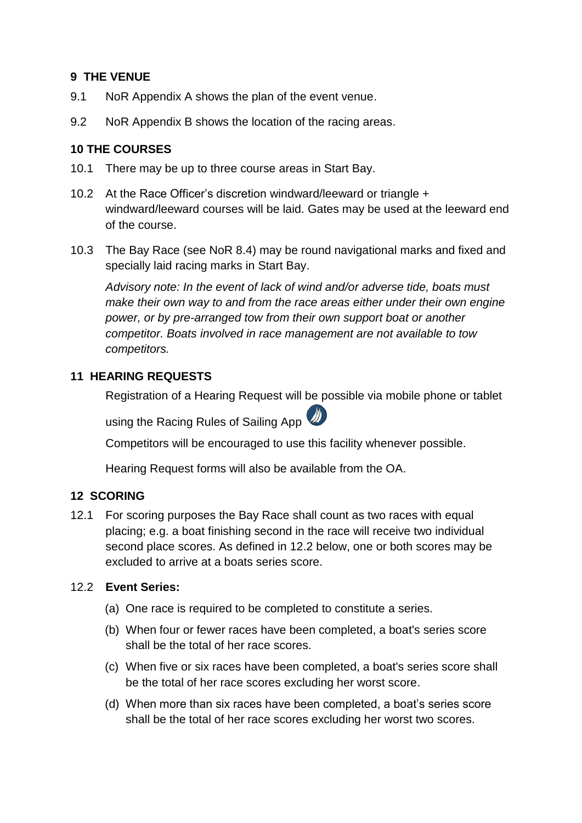#### **9 THE VENUE**

- 9.1 NoR Appendix A shows the plan of the event venue.
- 9.2 NoR Appendix B shows the location of the racing areas.

#### **10 THE COURSES**

- 10.1 There may be up to three course areas in Start Bay.
- 10.2 At the Race Officer's discretion windward/leeward or triangle + windward/leeward courses will be laid. Gates may be used at the leeward end of the course.
- 10.3 The Bay Race (see NoR 8.4) may be round navigational marks and fixed and specially laid racing marks in Start Bay.

*Advisory note: In the event of lack of wind and/or adverse tide, boats must make their own way to and from the race areas either under their own engine power, or by pre-arranged tow from their own support boat or another competitor. Boats involved in race management are not available to tow competitors.*

#### **11 HEARING REQUESTS**

Registration of a Hearing Request will be possible via mobile phone or tablet

using the Racing Rules of Sailing App

Competitors will be encouraged to use this facility whenever possible.

Hearing Request forms will also be available from the OA.

#### **12 SCORING**

12.1 For scoring purposes the Bay Race shall count as two races with equal placing; e.g. a boat finishing second in the race will receive two individual second place scores. As defined in 12.2 below, one or both scores may be excluded to arrive at a boats series score.

#### 12.2 **Event Series:**

- (a) One race is required to be completed to constitute a series.
- (b) When four or fewer races have been completed, a boat's series score shall be the total of her race scores.
- (c) When five or six races have been completed, a boat's series score shall be the total of her race scores excluding her worst score.
- (d) When more than six races have been completed, a boat's series score shall be the total of her race scores excluding her worst two scores.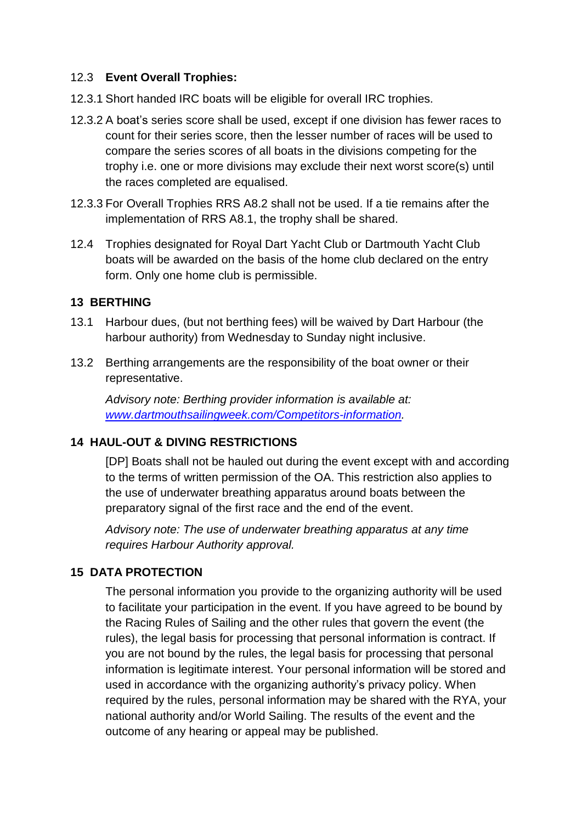#### 12.3 **Event Overall Trophies:**

- 12.3.1 Short handed IRC boats will be eligible for overall IRC trophies.
- 12.3.2 A boat's series score shall be used, except if one division has fewer races to count for their series score, then the lesser number of races will be used to compare the series scores of all boats in the divisions competing for the trophy i.e. one or more divisions may exclude their next worst score(s) until the races completed are equalised.
- 12.3.3 For Overall Trophies RRS A8.2 shall not be used. If a tie remains after the implementation of RRS A8.1, the trophy shall be shared.
- 12.4 Trophies designated for Royal Dart Yacht Club or Dartmouth Yacht Club boats will be awarded on the basis of the home club declared on the entry form. Only one home club is permissible.

#### **13 BERTHING**

- 13.1 Harbour dues, (but not berthing fees) will be waived by Dart Harbour (the harbour authority) from Wednesday to Sunday night inclusive.
- 13.2 Berthing arrangements are the responsibility of the boat owner or their representative.

*Advisory note: Berthing provider information is available at: [www.dartmouthsailingweek.com/Competitors-information.](http://www.dartmouthsailingweek.com/Competitors-information)*

#### **14 HAUL-OUT & DIVING RESTRICTIONS**

[DP] Boats shall not be hauled out during the event except with and according to the terms of written permission of the OA. This restriction also applies to the use of underwater breathing apparatus around boats between the preparatory signal of the first race and the end of the event.

*Advisory note: The use of underwater breathing apparatus at any time requires Harbour Authority approval.*

#### **15 DATA PROTECTION**

The personal information you provide to the organizing authority will be used to facilitate your participation in the event. If you have agreed to be bound by the Racing Rules of Sailing and the other rules that govern the event (the rules), the legal basis for processing that personal information is contract. If you are not bound by the rules, the legal basis for processing that personal information is legitimate interest. Your personal information will be stored and used in accordance with the organizing authority's privacy policy. When required by the rules, personal information may be shared with the RYA, your national authority and/or World Sailing. The results of the event and the outcome of any hearing or appeal may be published.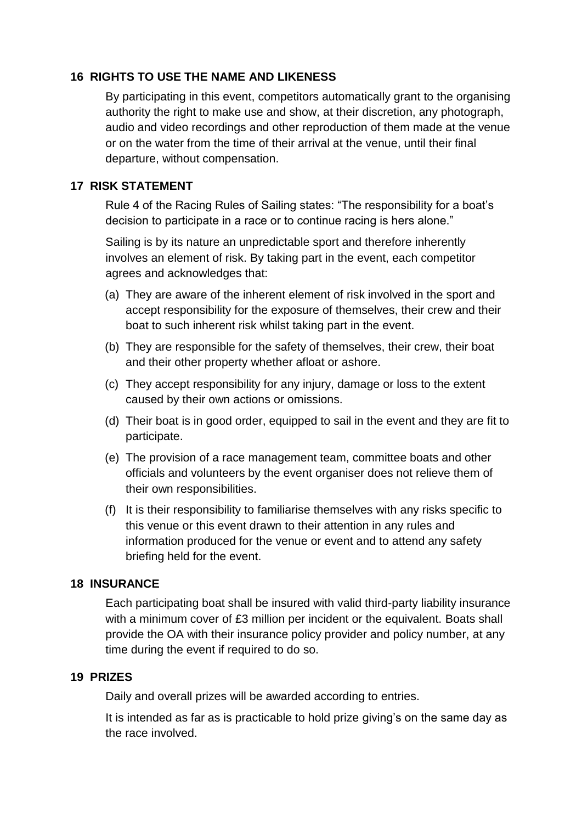#### **16 RIGHTS TO USE THE NAME AND LIKENESS**

By participating in this event, competitors automatically grant to the organising authority the right to make use and show, at their discretion, any photograph, audio and video recordings and other reproduction of them made at the venue or on the water from the time of their arrival at the venue, until their final departure, without compensation.

#### **17 RISK STATEMENT**

Rule 4 of the Racing Rules of Sailing states: "The responsibility for a boat's decision to participate in a race or to continue racing is hers alone."

Sailing is by its nature an unpredictable sport and therefore inherently involves an element of risk. By taking part in the event, each competitor agrees and acknowledges that:

- (a) They are aware of the inherent element of risk involved in the sport and accept responsibility for the exposure of themselves, their crew and their boat to such inherent risk whilst taking part in the event.
- (b) They are responsible for the safety of themselves, their crew, their boat and their other property whether afloat or ashore.
- (c) They accept responsibility for any injury, damage or loss to the extent caused by their own actions or omissions.
- (d) Their boat is in good order, equipped to sail in the event and they are fit to participate.
- (e) The provision of a race management team, committee boats and other officials and volunteers by the event organiser does not relieve them of their own responsibilities.
- (f) It is their responsibility to familiarise themselves with any risks specific to this venue or this event drawn to their attention in any rules and information produced for the venue or event and to attend any safety briefing held for the event.

#### **18 INSURANCE**

Each participating boat shall be insured with valid third-party liability insurance with a minimum cover of £3 million per incident or the equivalent. Boats shall provide the OA with their insurance policy provider and policy number, at any time during the event if required to do so.

#### **19 PRIZES**

Daily and overall prizes will be awarded according to entries.

It is intended as far as is practicable to hold prize giving's on the same day as the race involved.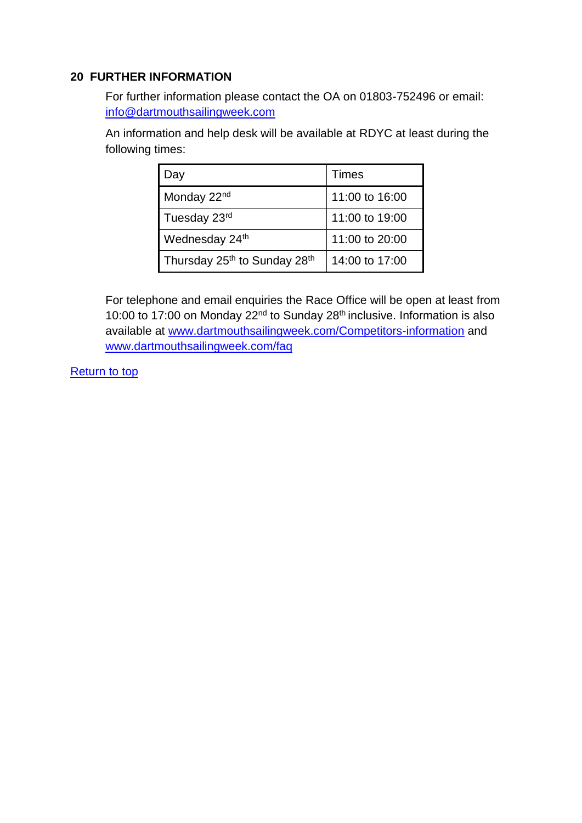#### **20 FURTHER INFORMATION**

For further information please contact the OA on 01803-752496 or email: [info@dartmouthsailingweek.com](mailto:info@dartmouthsailingweek.com)

An information and help desk will be available at RDYC at least during the following times:

| Day                                                  | Times          |
|------------------------------------------------------|----------------|
| Monday 22 <sup>nd</sup>                              | 11:00 to 16:00 |
| Tuesday 23rd                                         | 11:00 to 19:00 |
| Wednesday 24th                                       | 11:00 to 20:00 |
| Thursday 25 <sup>th</sup> to Sunday 28 <sup>th</sup> | 14:00 to 17:00 |

For telephone and email enquiries the Race Office will be open at least from 10:00 to 17:00 on Monday 22<sup>nd</sup> to Sunday 28<sup>th</sup> inclusive. Information is also available at [www.dartmouthsailingweek.com/Competitors-information](http://www.dartmouthsailingweek.com/Competitors-information) and [www.dartmouthsailingweek.com/faq](http://www.dartmouthsailingweek.com/faq)

[Return to top](#page-0-0)